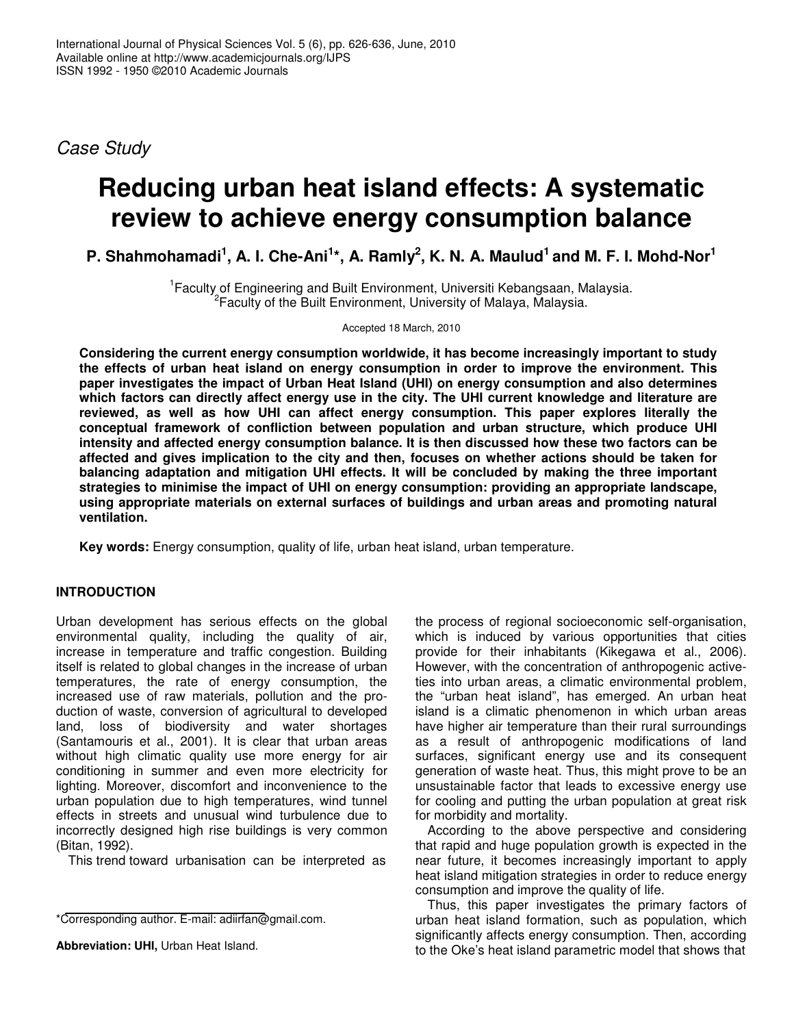*Case Study*

# **Reducing urban heat island effects: A systematic review to achieve energy consumption balance**

P. Shahmohamadi<sup>1</sup>, A. I. Che-Ani<sup>1</sup>\*, A. Ramly<sup>2</sup>, K. N. A. Maulud<sup>1</sup> and M. F. I. Mohd-Nor<sup>1</sup>

<sup>1</sup> Faculty of Engineering and Built Environment, Universiti Kebangsaan, Malaysia. 2 Faculty of the Built Environment, University of Malaya, Malaysia.

Accepted 18 March, 2010

**Considering the current energy consumption worldwide, it has become increasingly important to study the effects of urban heat island on energy consumption in order to improve the environment. This paper investigates the impact of Urban Heat Island (UHI) on energy consumption and also determines which factors can directly affect energy use in the city. The UHI current knowledge and literature are reviewed, as well as how UHI can affect energy consumption. This paper explores literally the conceptual framework of confliction between population and urban structure, which produce UHI intensity and affected energy consumption balance. It is then discussed how these two factors can be affected and gives implication to the city and then, focuses on whether actions should be taken for balancing adaptation and mitigation UHI effects. It will be concluded by making the three important strategies to minimise the impact of UHI on energy consumption: providing an appropriate landscape, using appropriate materials on external surfaces of buildings and urban areas and promoting natural ventilation.**

**Key words:** Energy consumption, quality of life, urban heat island, urban temperature.

# **INTRODUCTION**

Urban development has serious effects on the global environmental quality, including the quality of air, increase in temperature and traffic congestion. Building itself is related to global changes in the increase of urban temperatures, the rate of energy consumption, the increased use of raw materials, pollution and the production of waste, conversion of agricultural to developed land, loss of biodiversity and water shortages (Santamouris et al., 2001). It is clear that urban areas without high climatic quality use more energy for air conditioning in summer and even more electricity for lighting. Moreover, discomfort and inconvenience to the urban population due to high temperatures, wind tunnel effects in streets and unusual wind turbulence due to incorrectly designed high rise buildings is very common (Bitan, 1992).

This trend toward urbanisation can be interpreted as

**Abbreviation: UHI,** Urban Heat Island.

the process of regional socioeconomic self-organisation, which is induced by various opportunities that cities provide for their inhabitants (Kikegawa et al., 2006). However, with the concentration of anthropogenic activeties into urban areas, a climatic environmental problem, the "urban heat island", has emerged. An urban heat island is a climatic phenomenon in which urban areas have higher air temperature than their rural surroundings as a result of anthropogenic modifications of land surfaces, significant energy use and its consequent generation of waste heat. Thus, this might prove to be an unsustainable factor that leads to excessive energy use for cooling and putting the urban population at great risk for morbidity and mortality.

According to the above perspective and considering that rapid and huge population growth is expected in the near future, it becomes increasingly important to apply heat island mitigation strategies in order to reduce energy consumption and improve the quality of life.

Thus, this paper investigates the primary factors of urban heat island formation, such as population, which significantly affects energy consumption. Then, according to the Oke's heat island parametric model that shows that

<sup>\*</sup>Corresponding author. E-mail: adiirfan@gmail.com.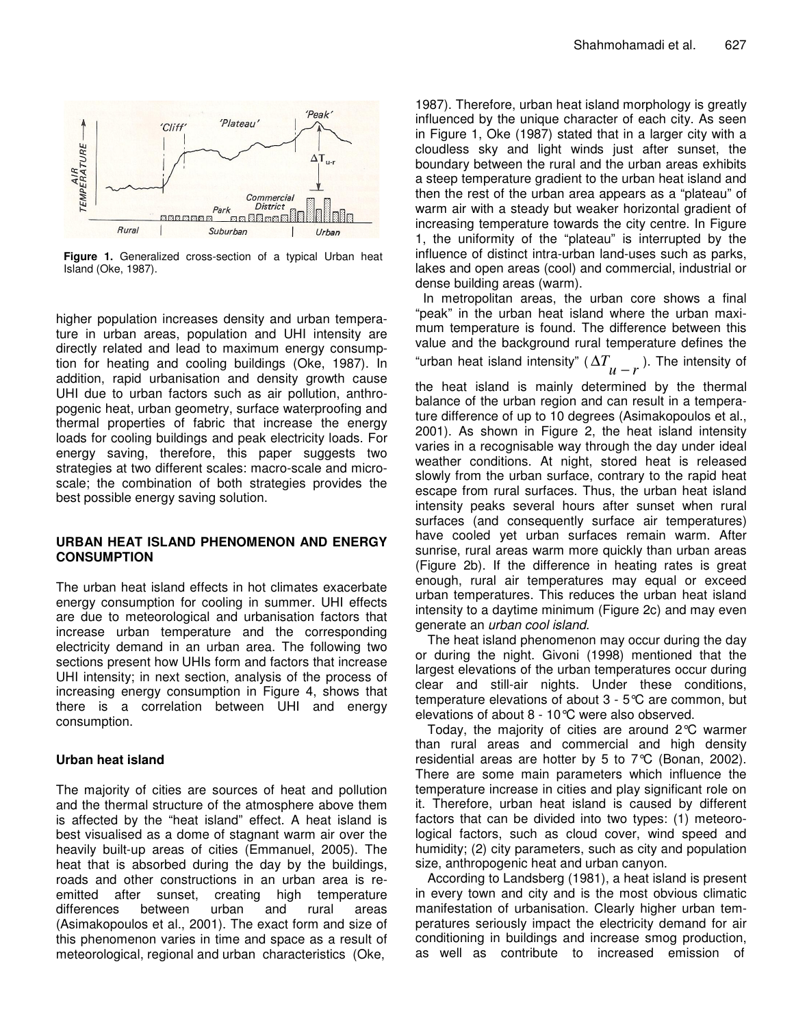

**Figure 1.** Generalized cross-section of a typical Urban heat Island (Oke, 1987).

higher population increases density and urban temperature in urban areas, population and UHI intensity are directly related and lead to maximum energy consumption for heating and cooling buildings (Oke, 1987). In addition, rapid urbanisation and density growth cause UHI due to urban factors such as air pollution, anthropogenic heat, urban geometry, surface waterproofing and thermal properties of fabric that increase the energy loads for cooling buildings and peak electricity loads. For energy saving, therefore, this paper suggests two strategies at two different scales: macro-scale and microscale; the combination of both strategies provides the best possible energy saving solution.

## **URBAN HEAT ISLAND PHENOMENON AND ENERGY CONSUMPTION**

The urban heat island effects in hot climates exacerbate energy consumption for cooling in summer. UHI effects are due to meteorological and urbanisation factors that increase urban temperature and the corresponding electricity demand in an urban area. The following two sections present how UHIs form and factors that increase UHI intensity; in next section, analysis of the process of increasing energy consumption in Figure 4, shows that there is a correlation between UHI and energy consumption.

## **Urban heat island**

The majority of cities are sources of heat and pollution and the thermal structure of the atmosphere above them is affected by the "heat island" effect. A heat island is best visualised as a dome of stagnant warm air over the heavily built-up areas of cities (Emmanuel, 2005). The heat that is absorbed during the day by the buildings, roads and other constructions in an urban area is reemitted after sunset, creating high temperature differences between urban and rural areas (Asimakopoulos et al., 2001). The exact form and size of this phenomenon varies in time and space as a result of meteorological, regional and urban characteristics (Oke,

1987). Therefore, urban heat island morphology is greatly influenced by the unique character of each city. As seen in Figure 1, Oke (1987) stated that in a larger city with a cloudless sky and light winds just after sunset, the boundary between the rural and the urban areas exhibits a steep temperature gradient to the urban heat island and then the rest of the urban area appears as a "plateau" of warm air with a steady but weaker horizontal gradient of increasing temperature towards the city centre. In Figure 1, the uniformity of the "plateau" is interrupted by the influence of distinct intra-urban land-uses such as parks, lakes and open areas (cool) and commercial, industrial or dense building areas (warm).

In metropolitan areas, the urban core shows a final "peak" in the urban heat island where the urban maximum temperature is found. The difference between this value and the background rural temperature defines the "urban heat island intensity" ( $\Delta T$ <sub> $\mu-r$ </sub>). The intensity of

the heat island is mainly determined by the thermal balance of the urban region and can result in a temperature difference of up to 10 degrees (Asimakopoulos et al., 2001). As shown in Figure 2, the heat island intensity varies in a recognisable way through the day under ideal weather conditions. At night, stored heat is released slowly from the urban surface, contrary to the rapid heat escape from rural surfaces. Thus, the urban heat island intensity peaks several hours after sunset when rural surfaces (and consequently surface air temperatures) have cooled yet urban surfaces remain warm. After sunrise, rural areas warm more quickly than urban areas (Figure 2b). If the difference in heating rates is great enough, rural air temperatures may equal or exceed urban temperatures. This reduces the urban heat island intensity to a daytime minimum (Figure 2c) and may even generate an *urban cool island*.

The heat island phenomenon may occur during the day or during the night. Givoni (1998) mentioned that the largest elevations of the urban temperatures occur during clear and still-air nights. Under these conditions, temperature elevations of about 3 - 5°C are common, but elevations of about 8 - 10°C were also observed.

Today, the majority of cities are around 2°C warmer than rural areas and commercial and high density residential areas are hotter by 5 to 7°C (Bonan, 2002). There are some main parameters which influence the temperature increase in cities and play significant role on it. Therefore, urban heat island is caused by different factors that can be divided into two types: (1) meteorological factors, such as cloud cover, wind speed and humidity; (2) city parameters, such as city and population size, anthropogenic heat and urban canyon.

According to Landsberg (1981), a heat island is present in every town and city and is the most obvious climatic manifestation of urbanisation. Clearly higher urban temperatures seriously impact the electricity demand for air conditioning in buildings and increase smog production, as well as contribute to increased emission of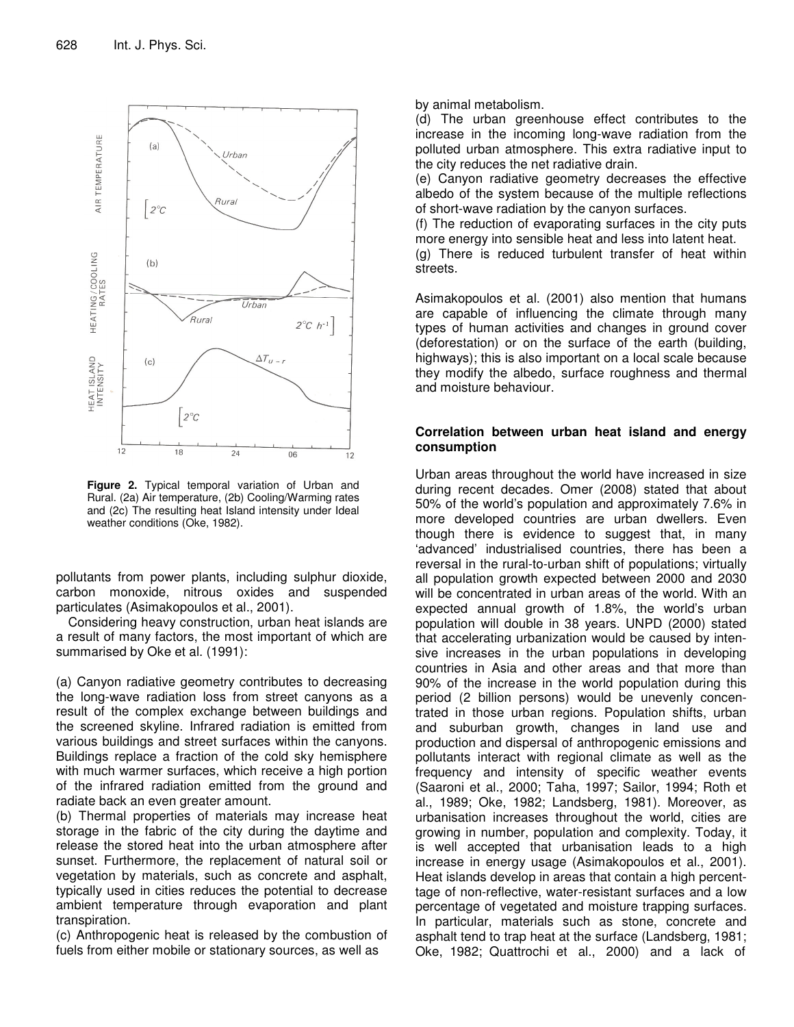

**Figure 2.** Typical temporal variation of Urban and Rural. (2a) Air temperature, (2b) Cooling/Warming rates and (2c) The resulting heat Island intensity under Ideal weather conditions (Oke, 1982).

pollutants from power plants, including sulphur dioxide, carbon monoxide, nitrous oxides and suspended particulates (Asimakopoulos et al., 2001).

Considering heavy construction, urban heat islands are a result of many factors, the most important of which are summarised by Oke et al. (1991):

(a) Canyon radiative geometry contributes to decreasing the long-wave radiation loss from street canyons as a result of the complex exchange between buildings and the screened skyline. Infrared radiation is emitted from various buildings and street surfaces within the canyons. Buildings replace a fraction of the cold sky hemisphere with much warmer surfaces, which receive a high portion of the infrared radiation emitted from the ground and radiate back an even greater amount.

(b) Thermal properties of materials may increase heat storage in the fabric of the city during the daytime and release the stored heat into the urban atmosphere after sunset. Furthermore, the replacement of natural soil or vegetation by materials, such as concrete and asphalt, typically used in cities reduces the potential to decrease ambient temperature through evaporation and plant transpiration.

(c) Anthropogenic heat is released by the combustion of fuels from either mobile or stationary sources, as well as

by animal metabolism.

(d) The urban greenhouse effect contributes to the increase in the incoming long-wave radiation from the polluted urban atmosphere. This extra radiative input to the city reduces the net radiative drain.

(e) Canyon radiative geometry decreases the effective albedo of the system because of the multiple reflections of short-wave radiation by the canyon surfaces.

(f) The reduction of evaporating surfaces in the city puts more energy into sensible heat and less into latent heat. (g) There is reduced turbulent transfer of heat within streets.

Asimakopoulos et al. (2001) also mention that humans are capable of influencing the climate through many types of human activities and changes in ground cover (deforestation) or on the surface of the earth (building, highways); this is also important on a local scale because they modify the albedo, surface roughness and thermal and moisture behaviour.

#### **Correlation between urban heat island and energy consumption**

Urban areas throughout the world have increased in size during recent decades. Omer (2008) stated that about 50% of the world's population and approximately 7.6% in more developed countries are urban dwellers. Even though there is evidence to suggest that, in many 'advanced' industrialised countries, there has been a reversal in the rural-to-urban shift of populations; virtually all population growth expected between 2000 and 2030 will be concentrated in urban areas of the world. With an expected annual growth of 1.8%, the world's urban population will double in 38 years. UNPD (2000) stated that accelerating urbanization would be caused by intensive increases in the urban populations in developing countries in Asia and other areas and that more than 90% of the increase in the world population during this period (2 billion persons) would be unevenly concentrated in those urban regions. Population shifts, urban and suburban growth, changes in land use and production and dispersal of anthropogenic emissions and pollutants interact with regional climate as well as the frequency and intensity of specific weather events (Saaroni et al., 2000; Taha, 1997; Sailor, 1994; Roth et al., 1989; Oke, 1982; Landsberg, 1981). Moreover, as urbanisation increases throughout the world, cities are growing in number, population and complexity. Today, it is well accepted that urbanisation leads to a high increase in energy usage (Asimakopoulos et al., 2001). Heat islands develop in areas that contain a high percenttage of non-reflective, water-resistant surfaces and a low percentage of vegetated and moisture trapping surfaces. In particular, materials such as stone, concrete and asphalt tend to trap heat at the surface (Landsberg, 1981; Oke, 1982; Quattrochi et al., 2000) and a lack of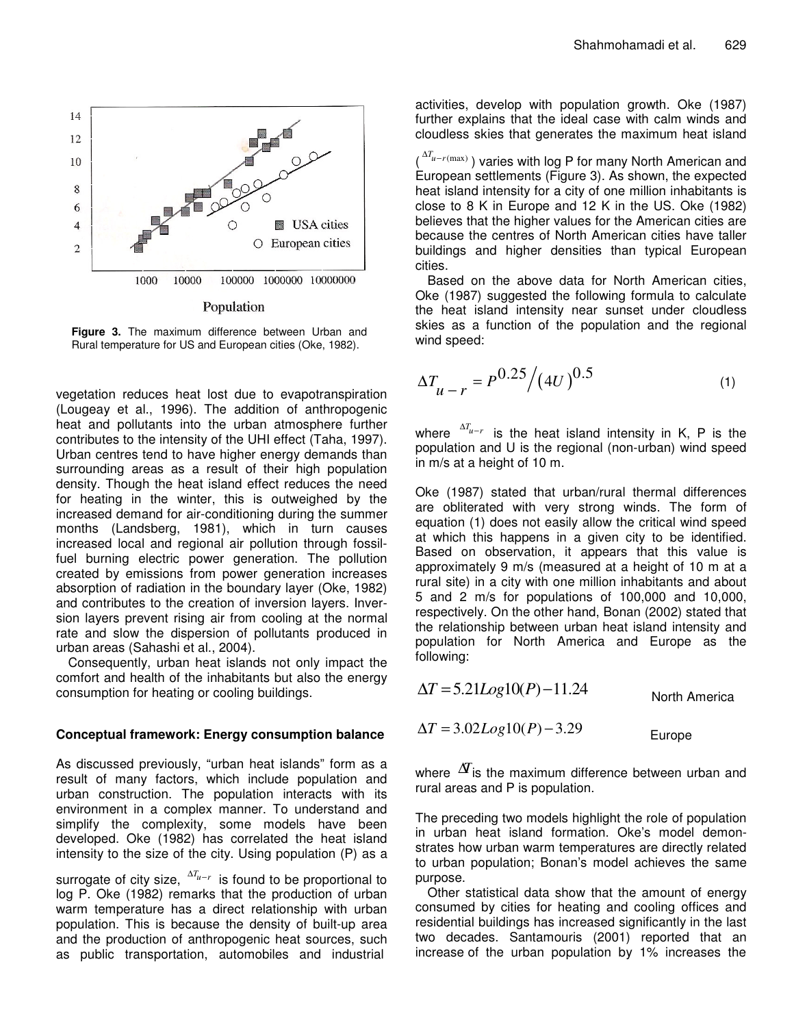

Population

**Figure 3.** The maximum difference between Urban and Rural temperature for US and European cities (Oke, 1982).

vegetation reduces heat lost due to evapotranspiration (Lougeay et al., 1996). The addition of anthropogenic heat and pollutants into the urban atmosphere further contributes to the intensity of the UHI effect (Taha, 1997). Urban centres tend to have higher energy demands than surrounding areas as a result of their high population density. Though the heat island effect reduces the need for heating in the winter, this is outweighed by the increased demand for air-conditioning during the summer months (Landsberg, 1981), which in turn causes increased local and regional air pollution through fossilfuel burning electric power generation. The pollution created by emissions from power generation increases absorption of radiation in the boundary layer (Oke, 1982) and contributes to the creation of inversion layers. Inversion layers prevent rising air from cooling at the normal rate and slow the dispersion of pollutants produced in urban areas (Sahashi et al., 2004).

Consequently, urban heat islands not only impact the comfort and health of the inhabitants but also the energy consumption for heating or cooling buildings.

## **Conceptual framework: Energy consumption balance**

As discussed previously, "urban heat islands" form as a result of many factors, which include population and urban construction. The population interacts with its environment in a complex manner. To understand and simplify the complexity, some models have been developed. Oke (1982) has correlated the heat island intensity to the size of the city. Using population (P) as a

surrogate of city size,  $\frac{\Delta T_{u-r}}{\Delta t}$  is found to be proportional to log P. Oke (1982) remarks that the production of urban warm temperature has a direct relationship with urban population. This is because the density of built-up area and the production of anthropogenic heat sources, such as public transportation, automobiles and industrial

activities, develop with population growth. Oke (1987) further explains that the ideal case with calm winds and cloudless skies that generates the maximum heat island

(<sup>∆T<sub>u-r</sub>(max)</sup>) varies with log P for many North American and European settlements (Figure 3). As shown, the expected heat island intensity for a city of one million inhabitants is close to 8 K in Europe and 12 K in the US. Oke (1982) believes that the higher values for the American cities are because the centres of North American cities have taller buildings and higher densities than typical European cities.

Based on the above data for North American cities, Oke (1987) suggested the following formula to calculate the heat island intensity near sunset under cloudless skies as a function of the population and the regional wind speed:

$$
\Delta T_{u-r} = P^{0.25} / (4U)^{0.5}
$$
 (1)

where  $\Delta T_{u-r}$  is the heat island intensity in K, P is the population and U is the regional (non-urban) wind speed in m/s at a height of 10 m.

Oke (1987) stated that urban/rural thermal differences are obliterated with very strong winds. The form of equation (1) does not easily allow the critical wind speed at which this happens in a given city to be identified. Based on observation, it appears that this value is approximately 9 m/s (measured at a height of 10 m at a rural site) in a city with one million inhabitants and about 5 and 2 m/s for populations of 100,000 and 10,000, respectively. On the other hand, Bonan (2002) stated that the relationship between urban heat island intensity and population for North America and Europe as the following:

$$
\Delta T = 5.21 Log10(P) - 11.24
$$
 North America

$$
\Delta T = 3.02 Log10(P) - 3.29
$$

where  $\Delta T$  is the maximum difference between urban and rural areas and P is population.

The preceding two models highlight the role of population in urban heat island formation. Oke's model demonstrates how urban warm temperatures are directly related to urban population; Bonan's model achieves the same purpose.

Other statistical data show that the amount of energy consumed by cities for heating and cooling offices and residential buildings has increased significantly in the last two decades. Santamouris (2001) reported that an increase of the urban population by 1% increases the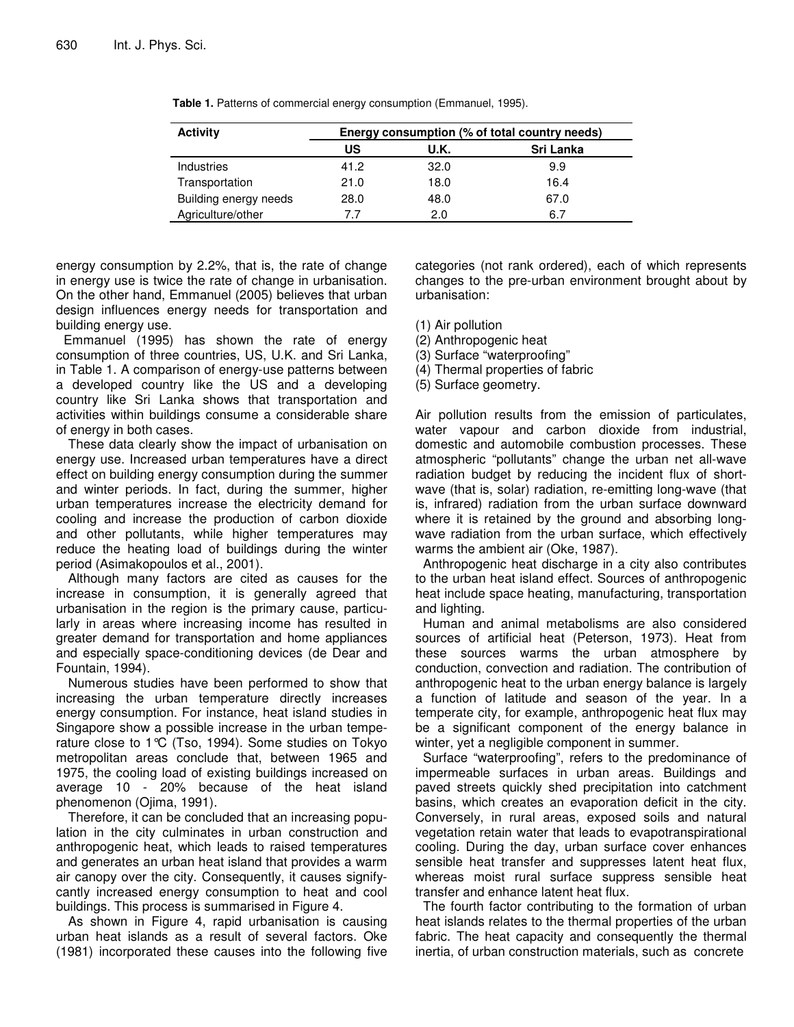| <b>Activity</b>       | Energy consumption (% of total country needs) |      |           |
|-----------------------|-----------------------------------------------|------|-----------|
|                       | US                                            | U.K. | Sri Lanka |
| <b>Industries</b>     | 41.2                                          | 32.0 | 9.9       |
| Transportation        | 21.0                                          | 18.0 | 16.4      |
| Building energy needs | 28.0                                          | 48.0 | 67.0      |
| Agriculture/other     | 77                                            | 2.0  | 6.7       |

**Table 1.** Patterns of commercial energy consumption (Emmanuel, 1995).

energy consumption by 2.2%, that is, the rate of change in energy use is twice the rate of change in urbanisation. On the other hand, Emmanuel (2005) believes that urban design influences energy needs for transportation and building energy use.

Emmanuel (1995) has shown the rate of energy consumption of three countries, US, U.K. and Sri Lanka, in Table 1. A comparison of energy-use patterns between a developed country like the US and a developing country like Sri Lanka shows that transportation and activities within buildings consume a considerable share of energy in both cases.

These data clearly show the impact of urbanisation on energy use. Increased urban temperatures have a direct effect on building energy consumption during the summer and winter periods. In fact, during the summer, higher urban temperatures increase the electricity demand for cooling and increase the production of carbon dioxide and other pollutants, while higher temperatures may reduce the heating load of buildings during the winter period (Asimakopoulos et al., 2001).

Although many factors are cited as causes for the increase in consumption, it is generally agreed that urbanisation in the region is the primary cause, particularly in areas where increasing income has resulted in greater demand for transportation and home appliances and especially space-conditioning devices (de Dear and Fountain, 1994).

Numerous studies have been performed to show that increasing the urban temperature directly increases energy consumption. For instance, heat island studies in Singapore show a possible increase in the urban temperature close to 1°C (Tso, 1994). Some studies on Tokyo metropolitan areas conclude that, between 1965 and 1975, the cooling load of existing buildings increased on average 10 - 20% because of the heat island phenomenon (Ojima, 1991).

Therefore, it can be concluded that an increasing population in the city culminates in urban construction and anthropogenic heat, which leads to raised temperatures and generates an urban heat island that provides a warm air canopy over the city. Consequently, it causes signifycantly increased energy consumption to heat and cool buildings. This process is summarised in Figure 4.

As shown in Figure 4, rapid urbanisation is causing urban heat islands as a result of several factors. Oke (1981) incorporated these causes into the following five categories (not rank ordered), each of which represents changes to the pre-urban environment brought about by urbanisation:

(1) Air pollution

(2) Anthropogenic heat

(3) Surface "waterproofing"

(4) Thermal properties of fabric

(5) Surface geometry.

Air pollution results from the emission of particulates, water vapour and carbon dioxide from industrial, domestic and automobile combustion processes. These atmospheric "pollutants" change the urban net all-wave radiation budget by reducing the incident flux of shortwave (that is, solar) radiation, re-emitting long-wave (that is, infrared) radiation from the urban surface downward where it is retained by the ground and absorbing longwave radiation from the urban surface, which effectively warms the ambient air (Oke, 1987).

Anthropogenic heat discharge in a city also contributes to the urban heat island effect. Sources of anthropogenic heat include space heating, manufacturing, transportation and lighting.

Human and animal metabolisms are also considered sources of artificial heat (Peterson, 1973). Heat from these sources warms the urban atmosphere by conduction, convection and radiation. The contribution of anthropogenic heat to the urban energy balance is largely a function of latitude and season of the year. In a temperate city, for example, anthropogenic heat flux may be a significant component of the energy balance in winter, yet a negligible component in summer.

Surface "waterproofing", refers to the predominance of impermeable surfaces in urban areas. Buildings and paved streets quickly shed precipitation into catchment basins, which creates an evaporation deficit in the city. Conversely, in rural areas, exposed soils and natural vegetation retain water that leads to evapotranspirational cooling. During the day, urban surface cover enhances sensible heat transfer and suppresses latent heat flux, whereas moist rural surface suppress sensible heat transfer and enhance latent heat flux.

The fourth factor contributing to the formation of urban heat islands relates to the thermal properties of the urban fabric. The heat capacity and consequently the thermal inertia, of urban construction materials, such as concrete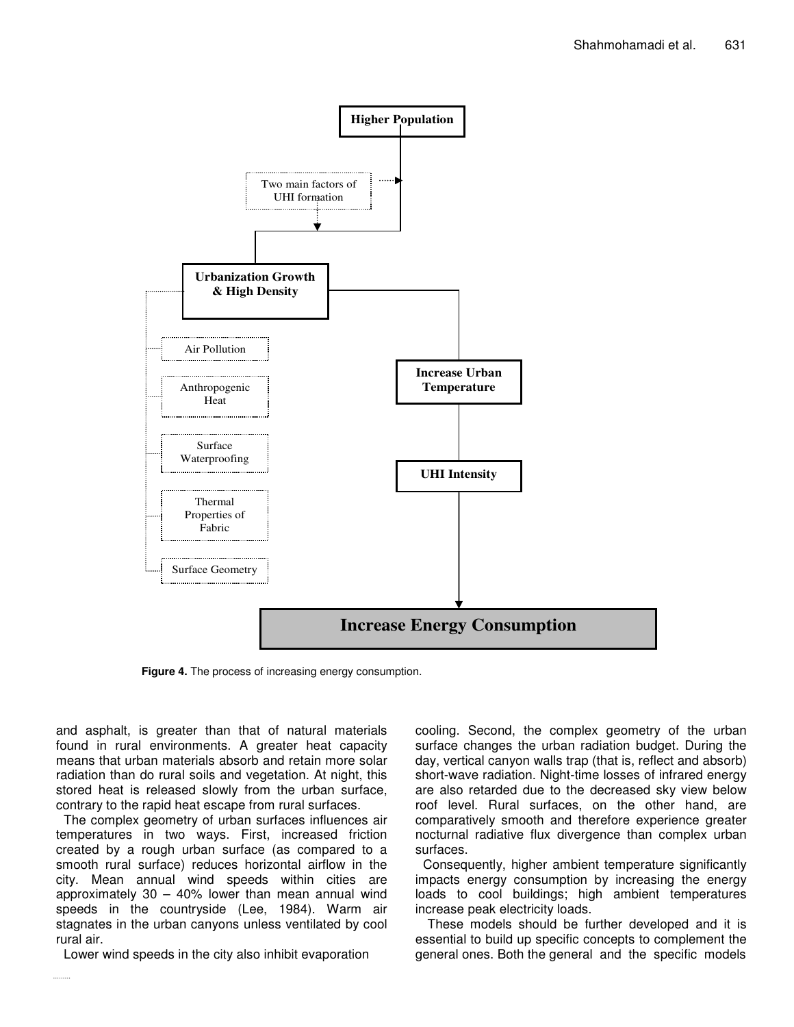

**Figure 4.** The process of increasing energy consumption.

and asphalt, is greater than that of natural materials found in rural environments. A greater heat capacity means that urban materials absorb and retain more solar radiation than do rural soils and vegetation. At night, this stored heat is released slowly from the urban surface, contrary to the rapid heat escape from rural surfaces.

The complex geometry of urban surfaces influences air temperatures in two ways. First, increased friction created by a rough urban surface (as compared to a smooth rural surface) reduces horizontal airflow in the city. Mean annual wind speeds within cities are approximately  $30 - 40\%$  lower than mean annual wind speeds in the countryside (Lee, 1984). Warm air stagnates in the urban canyons unless ventilated by cool rural air.

Lower wind speeds in the city also inhibit evaporation

 $1.1.1.1.1.1.1$ 

cooling. Second, the complex geometry of the urban surface changes the urban radiation budget. During the day, vertical canyon walls trap (that is, reflect and absorb) short-wave radiation. Night-time losses of infrared energy are also retarded due to the decreased sky view below roof level. Rural surfaces, on the other hand, are comparatively smooth and therefore experience greater nocturnal radiative flux divergence than complex urban surfaces.

Consequently, higher ambient temperature significantly impacts energy consumption by increasing the energy loads to cool buildings; high ambient temperatures increase peak electricity loads.

These models should be further developed and it is essential to build up specific concepts to complement the general ones. Both the general and the specific models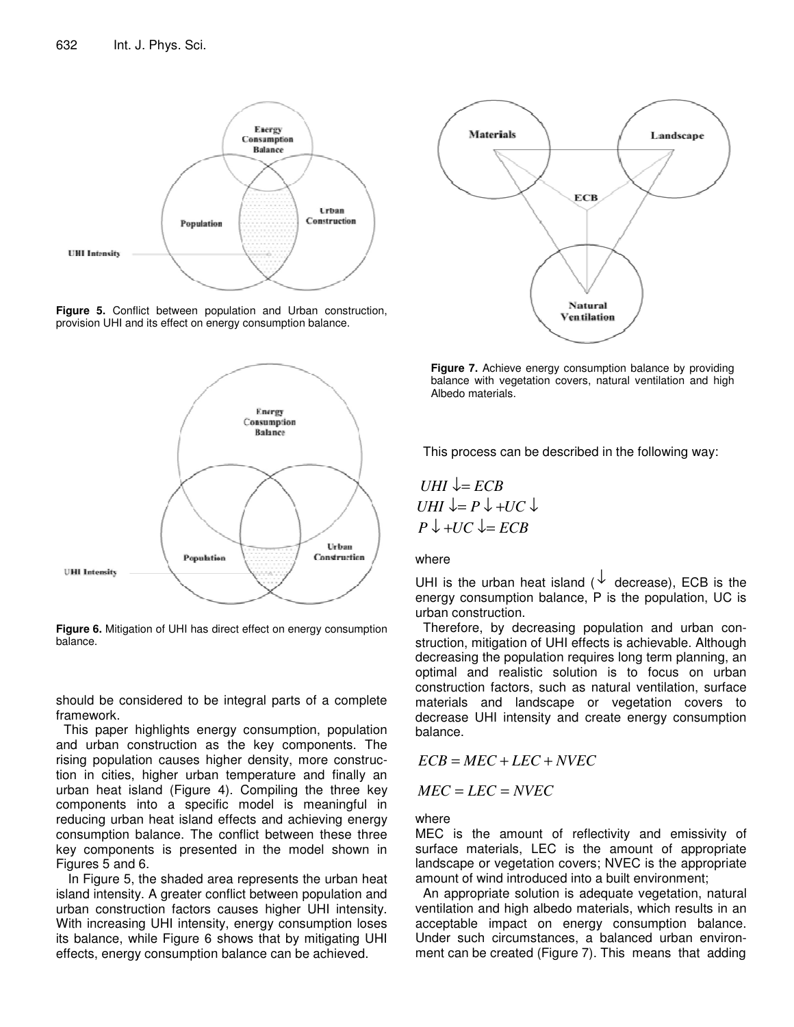

**Figure 5.** Conflict between population and Urban construction, provision UHI and its effect on energy consumption balance.



**Figure 6.** Mitigation of UHI has direct effect on energy consumption balance.

should be considered to be integral parts of a complete framework.

This paper highlights energy consumption, population and urban construction as the key components. The rising population causes higher density, more construction in cities, higher urban temperature and finally an urban heat island (Figure 4). Compiling the three key components into a specific model is meaningful in reducing urban heat island effects and achieving energy consumption balance. The conflict between these three key components is presented in the model shown in Figures 5 and 6.

In Figure 5, the shaded area represents the urban heat island intensity. A greater conflict between population and urban construction factors causes higher UHI intensity. With increasing UHI intensity, energy consumption loses its balance, while Figure 6 shows that by mitigating UHI effects, energy consumption balance can be achieved.



**Figure 7.** Achieve energy consumption balance by providing balance with vegetation covers, natural ventilation and high Albedo materials.

This process can be described in the following way:

 $UHI \downarrow = ECB$ *UHI*  $\downarrow = P \downarrow + UC \downarrow$  $P \downarrow +UC \downarrow = ECB$ 

where

UHI is the urban heat island ( $\downarrow$  decrease), ECB is the energy consumption balance, P is the population, UC is urban construction.

Therefore, by decreasing population and urban construction, mitigation of UHI effects is achievable. Although decreasing the population requires long term planning, an optimal and realistic solution is to focus on urban construction factors, such as natural ventilation, surface materials and landscape or vegetation covers to decrease UHI intensity and create energy consumption balance.

 $\angle ECB = MEC + LEC + NVEC$ 

$$
MEC = LEC = NVEC
$$

where

MEC is the amount of reflectivity and emissivity of surface materials, LEC is the amount of appropriate landscape or vegetation covers; NVEC is the appropriate amount of wind introduced into a built environment;

An appropriate solution is adequate vegetation, natural ventilation and high albedo materials, which results in an acceptable impact on energy consumption balance. Under such circumstances, a balanced urban environment can be created (Figure 7). This means that adding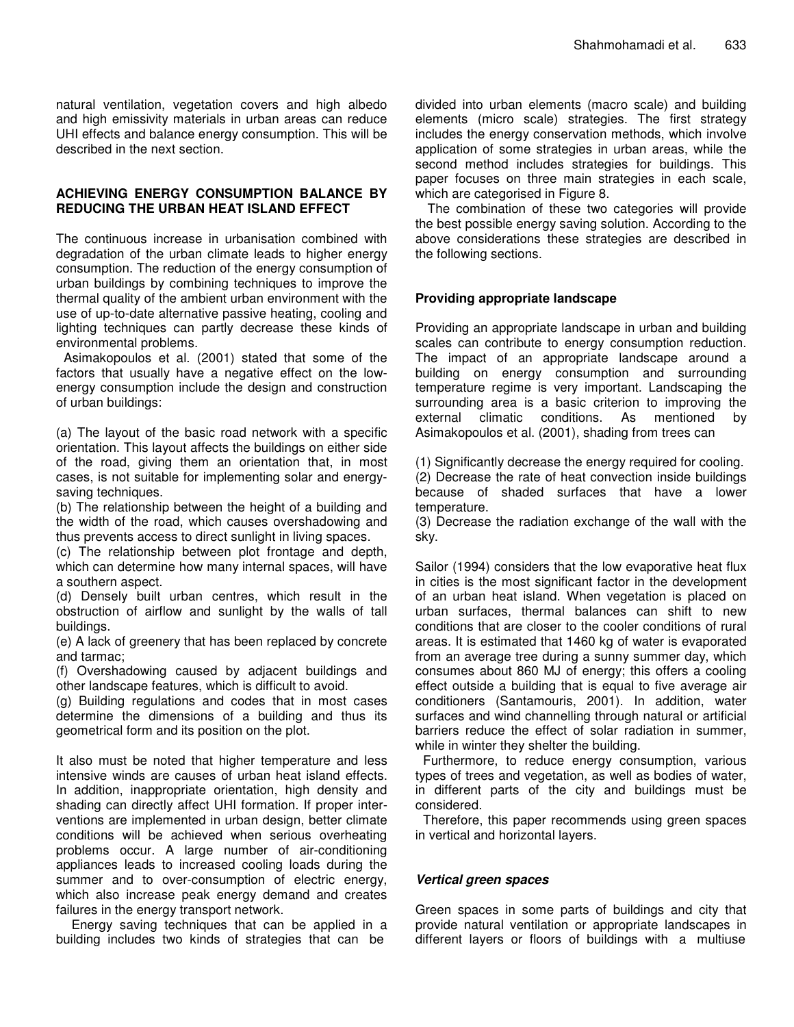natural ventilation, vegetation covers and high albedo and high emissivity materials in urban areas can reduce UHI effects and balance energy consumption. This will be described in the next section.

## **ACHIEVING ENERGY CONSUMPTION BALANCE BY REDUCING THE URBAN HEAT ISLAND EFFECT**

The continuous increase in urbanisation combined with degradation of the urban climate leads to higher energy consumption. The reduction of the energy consumption of urban buildings by combining techniques to improve the thermal quality of the ambient urban environment with the use of up-to-date alternative passive heating, cooling and lighting techniques can partly decrease these kinds of environmental problems.

Asimakopoulos et al. (2001) stated that some of the factors that usually have a negative effect on the lowenergy consumption include the design and construction of urban buildings:

(a) The layout of the basic road network with a specific orientation. This layout affects the buildings on either side of the road, giving them an orientation that, in most cases, is not suitable for implementing solar and energysaving techniques.

(b) The relationship between the height of a building and the width of the road, which causes overshadowing and thus prevents access to direct sunlight in living spaces.

(c) The relationship between plot frontage and depth, which can determine how many internal spaces, will have a southern aspect.

(d) Densely built urban centres, which result in the obstruction of airflow and sunlight by the walls of tall buildings.

(e) A lack of greenery that has been replaced by concrete and tarmac;

(f) Overshadowing caused by adjacent buildings and other landscape features, which is difficult to avoid.

(g) Building regulations and codes that in most cases determine the dimensions of a building and thus its geometrical form and its position on the plot.

It also must be noted that higher temperature and less intensive winds are causes of urban heat island effects. In addition, inappropriate orientation, high density and shading can directly affect UHI formation. If proper interventions are implemented in urban design, better climate conditions will be achieved when serious overheating problems occur. A large number of air-conditioning appliances leads to increased cooling loads during the summer and to over-consumption of electric energy, which also increase peak energy demand and creates failures in the energy transport network.

Energy saving techniques that can be applied in a building includes two kinds of strategies that can be

divided into urban elements (macro scale) and building elements (micro scale) strategies. The first strategy includes the energy conservation methods, which involve application of some strategies in urban areas, while the second method includes strategies for buildings. This paper focuses on three main strategies in each scale, which are categorised in Figure 8.

The combination of these two categories will provide the best possible energy saving solution. According to the above considerations these strategies are described in the following sections.

## **Providing appropriate landscape**

Providing an appropriate landscape in urban and building scales can contribute to energy consumption reduction. The impact of an appropriate landscape around a building on energy consumption and surrounding temperature regime is very important. Landscaping the surrounding area is a basic criterion to improving the external climatic conditions. As mentioned by Asimakopoulos et al. (2001), shading from trees can

(1) Significantly decrease the energy required for cooling. (2) Decrease the rate of heat convection inside buildings because of shaded surfaces that have a lower temperature.

(3) Decrease the radiation exchange of the wall with the sky.

Sailor (1994) considers that the low evaporative heat flux in cities is the most significant factor in the development of an urban heat island. When vegetation is placed on urban surfaces, thermal balances can shift to new conditions that are closer to the cooler conditions of rural areas. It is estimated that 1460 kg of water is evaporated from an average tree during a sunny summer day, which consumes about 860 MJ of energy; this offers a cooling effect outside a building that is equal to five average air conditioners (Santamouris, 2001). In addition, water surfaces and wind channelling through natural or artificial barriers reduce the effect of solar radiation in summer, while in winter they shelter the building.

Furthermore, to reduce energy consumption, various types of trees and vegetation, as well as bodies of water, in different parts of the city and buildings must be considered.

Therefore, this paper recommends using green spaces in vertical and horizontal layers.

## *Vertical green spaces*

Green spaces in some parts of buildings and city that provide natural ventilation or appropriate landscapes in different layers or floors of buildings with a multiuse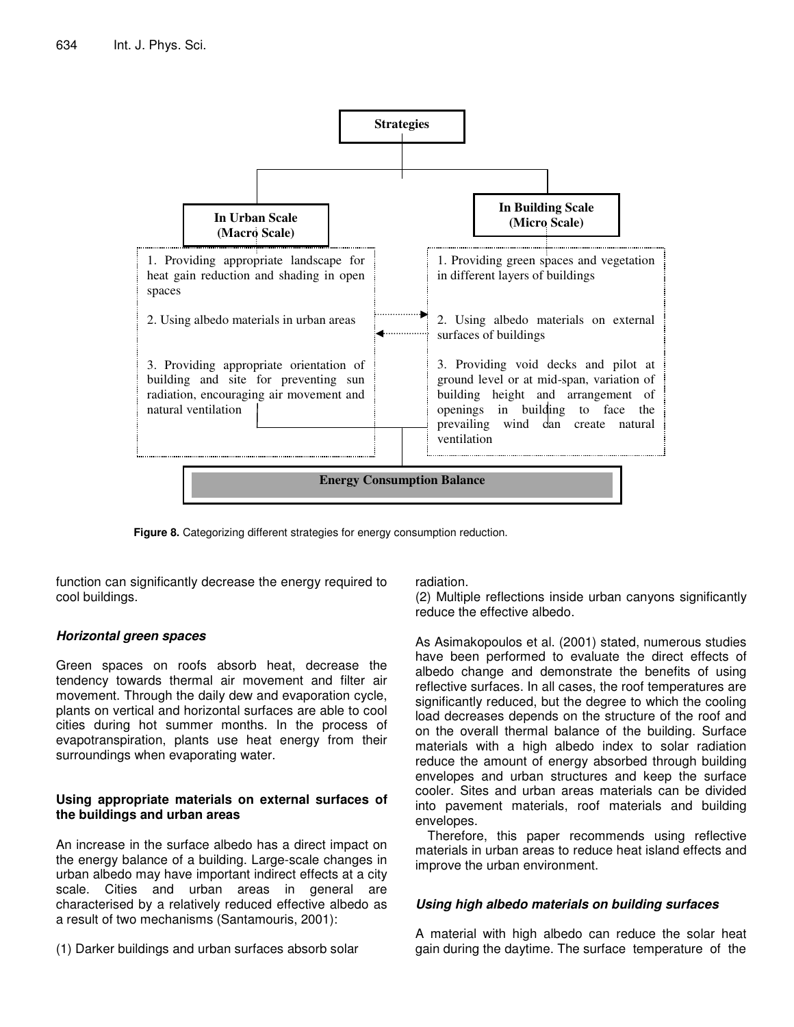

**Figure 8.** Categorizing different strategies for energy consumption reduction.

function can significantly decrease the energy required to cool buildings.

## *Horizontal green spaces*

Green spaces on roofs absorb heat, decrease the tendency towards thermal air movement and filter air movement. Through the daily dew and evaporation cycle, plants on vertical and horizontal surfaces are able to cool cities during hot summer months. In the process of evapotranspiration, plants use heat energy from their surroundings when evaporating water.

## **Using appropriate materials on external surfaces of the buildings and urban areas**

An increase in the surface albedo has a direct impact on the energy balance of a building. Large-scale changes in urban albedo may have important indirect effects at a city scale. Cities and urban areas in general are characterised by a relatively reduced effective albedo as a result of two mechanisms (Santamouris, 2001):

(1) Darker buildings and urban surfaces absorb solar

radiation.

(2) Multiple reflections inside urban canyons significantly reduce the effective albedo.

As Asimakopoulos et al. (2001) stated, numerous studies have been performed to evaluate the direct effects of albedo change and demonstrate the benefits of using reflective surfaces. In all cases, the roof temperatures are significantly reduced, but the degree to which the cooling load decreases depends on the structure of the roof and on the overall thermal balance of the building. Surface materials with a high albedo index to solar radiation reduce the amount of energy absorbed through building envelopes and urban structures and keep the surface cooler. Sites and urban areas materials can be divided into pavement materials, roof materials and building envelopes.

Therefore, this paper recommends using reflective materials in urban areas to reduce heat island effects and improve the urban environment.

## *Using high albedo materials on building surfaces*

A material with high albedo can reduce the solar heat gain during the daytime. The surface temperature of the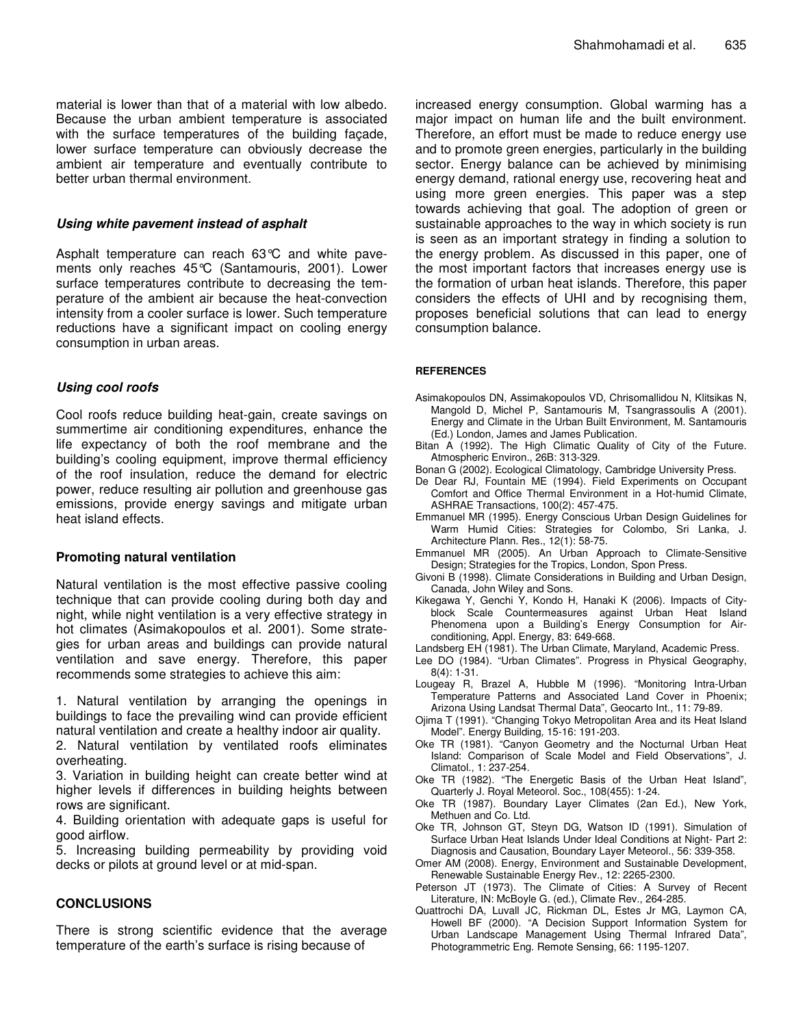material is lower than that of a material with low albedo. Because the urban ambient temperature is associated with the surface temperatures of the building façade, lower surface temperature can obviously decrease the ambient air temperature and eventually contribute to better urban thermal environment.

#### *Using white pavement instead of asphalt*

Asphalt temperature can reach 63°C and white pavements only reaches 45°C (Santamouris, 2001). Lower surface temperatures contribute to decreasing the temperature of the ambient air because the heat-convection intensity from a cooler surface is lower. Such temperature reductions have a significant impact on cooling energy consumption in urban areas.

#### *Using cool roofs*

Cool roofs reduce building heat-gain, create savings on summertime air conditioning expenditures, enhance the life expectancy of both the roof membrane and the building's cooling equipment, improve thermal efficiency of the roof insulation, reduce the demand for electric power, reduce resulting air pollution and greenhouse gas emissions, provide energy savings and mitigate urban heat island effects.

## **Promoting natural ventilation**

Natural ventilation is the most effective passive cooling technique that can provide cooling during both day and night, while night ventilation is a very effective strategy in hot climates (Asimakopoulos et al. 2001). Some strategies for urban areas and buildings can provide natural ventilation and save energy. Therefore, this paper recommends some strategies to achieve this aim:

1. Natural ventilation by arranging the openings in buildings to face the prevailing wind can provide efficient natural ventilation and create a healthy indoor air quality.

2. Natural ventilation by ventilated roofs eliminates overheating.

3. Variation in building height can create better wind at higher levels if differences in building heights between rows are significant.

4. Building orientation with adequate gaps is useful for good airflow.

5. Increasing building permeability by providing void decks or pilots at ground level or at mid-span.

#### **CONCLUSIONS**

There is strong scientific evidence that the average temperature of the earth's surface is rising because of

increased energy consumption. Global warming has a major impact on human life and the built environment. Therefore, an effort must be made to reduce energy use and to promote green energies, particularly in the building sector. Energy balance can be achieved by minimising energy demand, rational energy use, recovering heat and using more green energies. This paper was a step towards achieving that goal. The adoption of green or sustainable approaches to the way in which society is run is seen as an important strategy in finding a solution to the energy problem. As discussed in this paper, one of the most important factors that increases energy use is the formation of urban heat islands. Therefore, this paper considers the effects of UHI and by recognising them, proposes beneficial solutions that can lead to energy consumption balance.

#### **REFERENCES**

- Asimakopoulos DN, Assimakopoulos VD, Chrisomallidou N, Klitsikas N, Mangold D, Michel P, Santamouris M, Tsangrassoulis A (2001). Energy and Climate in the Urban Built Environment, M. Santamouris (Ed.) London, James and James Publication.
- Bitan A (1992). The High Climatic Quality of City of the Future. Atmospheric Environ., 26B: 313-329.
- Bonan G (2002). Ecological Climatology, Cambridge University Press.
- De Dear RJ, Fountain ME (1994). Field Experiments on Occupant Comfort and Office Thermal Environment in a Hot-humid Climate, ASHRAE Transactions*,* 100(2): 457-475.
- Emmanuel MR (1995). Energy Conscious Urban Design Guidelines for Warm Humid Cities: Strategies for Colombo, Sri Lanka, J. Architecture Plann. Res., 12(1): 58-75.
- Emmanuel MR (2005). An Urban Approach to Climate-Sensitive Design; Strategies for the Tropics, London, Spon Press.
- Givoni B (1998). Climate Considerations in Building and Urban Design, Canada, John Wiley and Sons.
- Kikegawa Y, Genchi Y, Kondo H, Hanaki K (2006). Impacts of Cityblock Scale Countermeasures against Urban Heat Island Phenomena upon a Building's Energy Consumption for Airconditioning, Appl. Energy, 83: 649-668.
- Landsberg EH (1981). The Urban Climate, Maryland, Academic Press.
- Lee DO (1984). "Urban Climates". Progress in Physical Geography, 8(4): 1-31.
- Lougeay R, Brazel A, Hubble M (1996). "Monitoring Intra-Urban Temperature Patterns and Associated Land Cover in Phoenix; Arizona Using Landsat Thermal Data", Geocarto Int., 11: 79-89.
- Ojima T (1991). "Changing Tokyo Metropolitan Area and its Heat Island Model". Energy Building*,* 15-16: 191-203.
- Oke TR (1981). "Canyon Geometry and the Nocturnal Urban Heat Island: Comparison of Scale Model and Field Observations", J. Climatol., 1: 237-254.
- Oke TR (1982). "The Energetic Basis of the Urban Heat Island", Quarterly J. Royal Meteorol. Soc., 108(455): 1-24.
- Oke TR (1987). Boundary Layer Climates (2an Ed.), New York, Methuen and Co. Ltd.
- Oke TR, Johnson GT, Steyn DG, Watson ID (1991). Simulation of Surface Urban Heat Islands Under Ideal Conditions at Night- Part 2: Diagnosis and Causation, Boundary Layer Meteorol., 56: 339-358.
- Omer AM (2008). Energy, Environment and Sustainable Development, Renewable Sustainable Energy Rev., 12: 2265-2300.
- Peterson JT (1973). The Climate of Cities: A Survey of Recent Literature, IN: McBoyle G. (ed.), Climate Rev., 264-285.
- Quattrochi DA, Luvall JC, Rickman DL, Estes Jr MG, Laymon CA, Howell BF (2000). "A Decision Support Information System for Urban Landscape Management Using Thermal Infrared Data", Photogrammetric Eng. Remote Sensing, 66: 1195-1207.